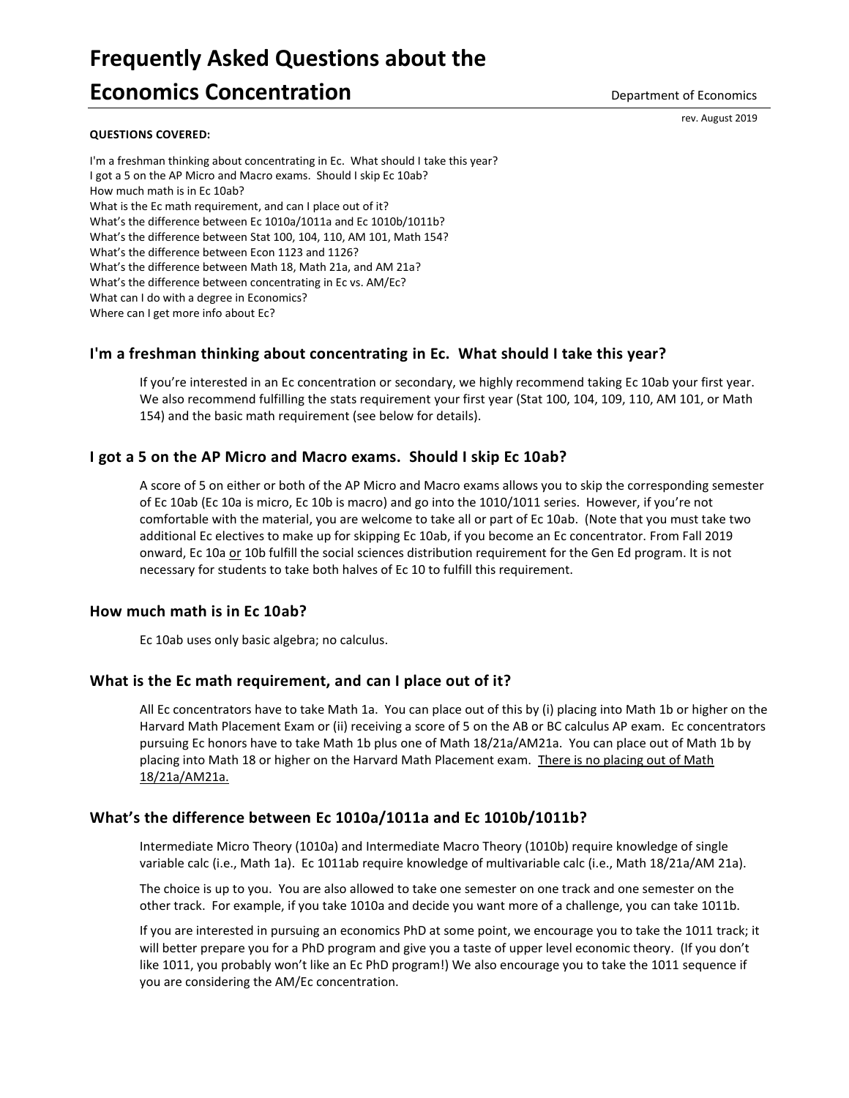# **Frequently Asked Questions about the Economics Concentration**

rev. August 2019

#### **QUESTIONS COVERED:**

[I'm a freshman thinking about concentrating in Ec. What should I take this year?](#page-0-0) [I got a 5 on the AP Micro and Macro exams. Should I skip Ec 10ab?](#page-0-1) [How much math is in Ec 10ab?](#page-0-2) [What is the Ec math requirement, and can I place out of it?](#page-0-3) [What's the difference between Ec 1010a/1011a and Ec 1010b/1011b?](#page-0-4) [What's the difference between Stat 100, 104, 110, AM 101, Math 154?](#page-0-5) What's [the difference between Econ 1123 and 1126?](#page-1-0) [What's the difference between Math 18, Math 21a, and AM 21a?](#page-1-1) [What's the difference between concentrating in Ec vs. AM/Ec?](#page-1-2) What can I do with a degree in Economics? [Where can I get more info about Ec?](#page-1-3)

# <span id="page-0-0"></span>**I'm a freshman thinking about concentrating in Ec. What should I take this year?**

If you're interested in an Ec concentration or secondary, we highly recommend taking Ec 10ab your first year. We also recommend fulfilling the stats requirement your first year (Stat 100, 104, 109, 110, AM 101, or Math 154) and the basic math requirement (see below for details).

# <span id="page-0-1"></span>**I got a 5 on the AP Micro and Macro exams. Should I skip Ec 10ab?**

A score of 5 on either or both of the AP Micro and Macro exams allows you to skip the corresponding semester of Ec 10ab (Ec 10a is micro, Ec 10b is macro) and go into the 1010/1011 series. However, if you're not comfortable with the material, you are welcome to take all or part of Ec 10ab. (Note that you must take two additional Ec electives to make up for skipping Ec 10ab, if you become an Ec concentrator. From Fall 2019 onward, Ec 10a or 10b fulfill the social sciences distribution requirement for the Gen Ed program. It is not necessary for students to take both halves of Ec 10 to fulfill this requirement.

## <span id="page-0-2"></span>**How much math is in Ec 10ab?**

Ec 10ab uses only basic algebra; no calculus.

## <span id="page-0-3"></span>**What is the Ec math requirement, and can I place out of it?**

All Ec concentrators have to take Math 1a. You can place out of this by (i) placing into Math 1b or higher on the Harvard Math Placement Exam or (ii) receiving a score of 5 on the AB or BC calculus AP exam. Ec concentrators pursuing Ec honors have to take Math 1b plus one of Math 18/21a/AM21a. You can place out of Math 1b by placing into Math 18 or higher on the Harvard Math Placement exam. There is no placing out of Math 18/21a/AM21a.

# <span id="page-0-4"></span>**What's the difference between Ec 1010a/1011a and Ec 1010b/1011b?**

Intermediate Micro Theory (1010a) and Intermediate Macro Theory (1010b) require knowledge of single variable calc (i.e., Math 1a). Ec 1011ab require knowledge of multivariable calc (i.e., Math 18/21a/AM 21a).

The choice is up to you. You are also allowed to take one semester on one track and one semester on the other track. For example, if you take 1010a and decide you want more of a challenge, you can take 1011b.

<span id="page-0-5"></span>If you are interested in pursuing an economics PhD at some point, we encourage you to take the 1011 track; it will better prepare you for a PhD program and give you a taste of upper level economic theory. (If you don't like 1011, you probably won't like an Ec PhD program!) We also encourage you to take the 1011 sequence if you are considering the AM/Ec concentration.